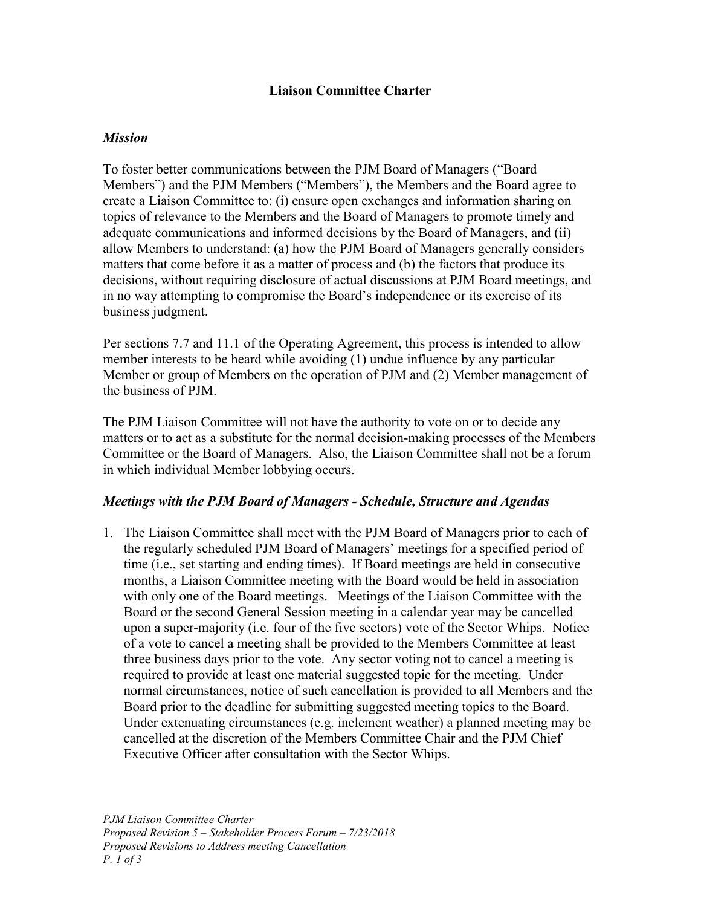### **Liaison Committee Charter**

### *Mission*

To foster better communications between the PJM Board of Managers ("Board Members") and the PJM Members ("Members"), the Members and the Board agree to create a Liaison Committee to: (i) ensure open exchanges and information sharing on topics of relevance to the Members and the Board of Managers to promote timely and adequate communications and informed decisions by the Board of Managers, and (ii) allow Members to understand: (a) how the PJM Board of Managers generally considers matters that come before it as a matter of process and (b) the factors that produce its decisions, without requiring disclosure of actual discussions at PJM Board meetings, and in no way attempting to compromise the Board's independence or its exercise of its business judgment.

Per sections 7.7 and 11.1 of the Operating Agreement, this process is intended to allow member interests to be heard while avoiding (1) undue influence by any particular Member or group of Members on the operation of PJM and (2) Member management of the business of PJM.

The PJM Liaison Committee will not have the authority to vote on or to decide any matters or to act as a substitute for the normal decision-making processes of the Members Committee or the Board of Managers. Also, the Liaison Committee shall not be a forum in which individual Member lobbying occurs.

#### *Meetings with the PJM Board of Managers - Schedule, Structure and Agendas*

1. The Liaison Committee shall meet with the PJM Board of Managers prior to each of the regularly scheduled PJM Board of Managers' meetings for a specified period of time (i.e., set starting and ending times). If Board meetings are held in consecutive months, a Liaison Committee meeting with the Board would be held in association with only one of the Board meetings. Meetings of the Liaison Committee with the Board or the second General Session meeting in a calendar year may be cancelled upon a super-majority (i.e. four of the five sectors) vote of the Sector Whips. Notice of a vote to cancel a meeting shall be provided to the Members Committee at least three business days prior to the vote. Any sector voting not to cancel a meeting is required to provide at least one material suggested topic for the meeting. Under normal circumstances, notice of such cancellation is provided to all Members and the Board prior to the deadline for submitting suggested meeting topics to the Board. Under extenuating circumstances (e.g. inclement weather) a planned meeting may be cancelled at the discretion of the Members Committee Chair and the PJM Chief Executive Officer after consultation with the Sector Whips.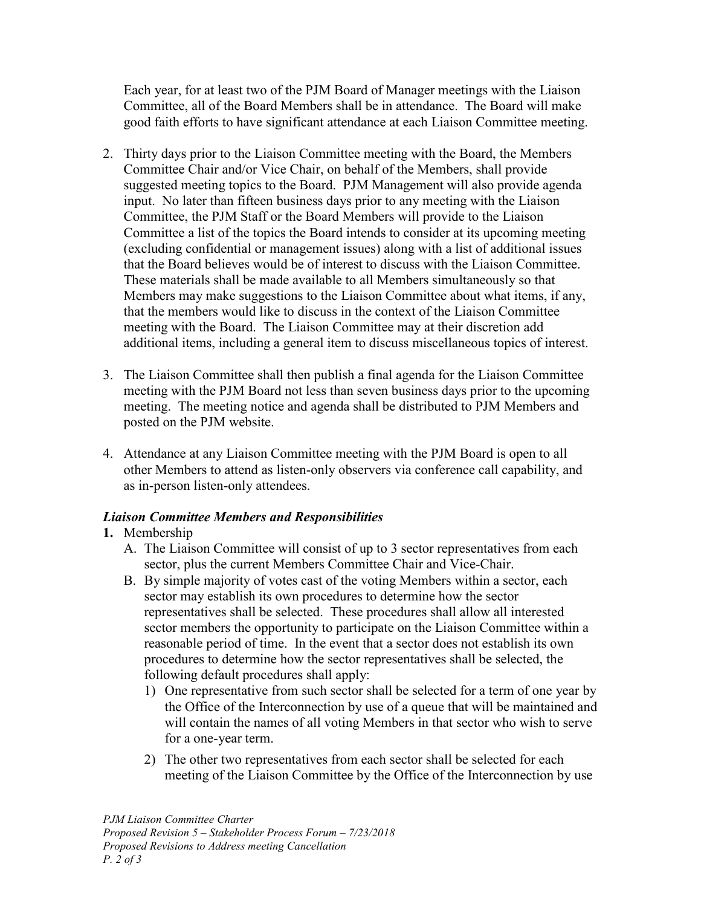Each year, for at least two of the PJM Board of Manager meetings with the Liaison Committee, all of the Board Members shall be in attendance. The Board will make good faith efforts to have significant attendance at each Liaison Committee meeting.

- 2. Thirty days prior to the Liaison Committee meeting with the Board, the Members Committee Chair and/or Vice Chair, on behalf of the Members, shall provide suggested meeting topics to the Board. PJM Management will also provide agenda input. No later than fifteen business days prior to any meeting with the Liaison Committee, the PJM Staff or the Board Members will provide to the Liaison Committee a list of the topics the Board intends to consider at its upcoming meeting (excluding confidential or management issues) along with a list of additional issues that the Board believes would be of interest to discuss with the Liaison Committee. These materials shall be made available to all Members simultaneously so that Members may make suggestions to the Liaison Committee about what items, if any, that the members would like to discuss in the context of the Liaison Committee meeting with the Board. The Liaison Committee may at their discretion add additional items, including a general item to discuss miscellaneous topics of interest.
- 3. The Liaison Committee shall then publish a final agenda for the Liaison Committee meeting with the PJM Board not less than seven business days prior to the upcoming meeting. The meeting notice and agenda shall be distributed to PJM Members and posted on the PJM website.
- 4. Attendance at any Liaison Committee meeting with the PJM Board is open to all other Members to attend as listen-only observers via conference call capability, and as in-person listen-only attendees.

# *Liaison Committee Members and Responsibilities*

# **1.** Membership

- A. The Liaison Committee will consist of up to 3 sector representatives from each sector, plus the current Members Committee Chair and Vice-Chair.
- B. By simple majority of votes cast of the voting Members within a sector, each sector may establish its own procedures to determine how the sector representatives shall be selected. These procedures shall allow all interested sector members the opportunity to participate on the Liaison Committee within a reasonable period of time. In the event that a sector does not establish its own procedures to determine how the sector representatives shall be selected, the following default procedures shall apply:
	- 1) One representative from such sector shall be selected for a term of one year by the Office of the Interconnection by use of a queue that will be maintained and will contain the names of all voting Members in that sector who wish to serve for a one-year term.
	- 2) The other two representatives from each sector shall be selected for each meeting of the Liaison Committee by the Office of the Interconnection by use